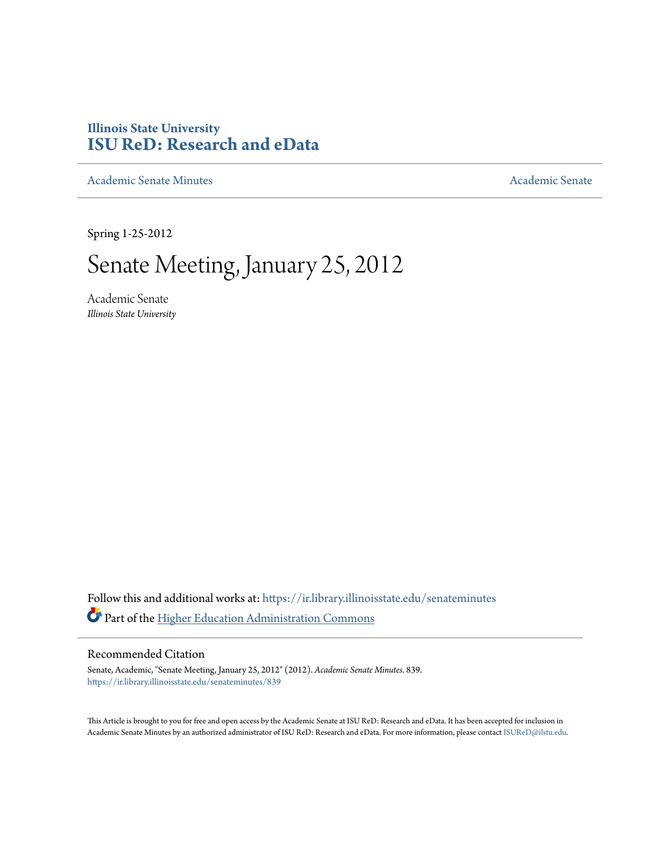## **Illinois State University [ISU ReD: Research and eData](https://ir.library.illinoisstate.edu?utm_source=ir.library.illinoisstate.edu%2Fsenateminutes%2F839&utm_medium=PDF&utm_campaign=PDFCoverPages)**

[Academic Senate Minutes](https://ir.library.illinoisstate.edu/senateminutes?utm_source=ir.library.illinoisstate.edu%2Fsenateminutes%2F839&utm_medium=PDF&utm_campaign=PDFCoverPages) [Academic Senate](https://ir.library.illinoisstate.edu/senate?utm_source=ir.library.illinoisstate.edu%2Fsenateminutes%2F839&utm_medium=PDF&utm_campaign=PDFCoverPages) Academic Senate

Spring 1-25-2012

# Senate Meeting, January 25, 2012

Academic Senate *Illinois State University*

Follow this and additional works at: [https://ir.library.illinoisstate.edu/senateminutes](https://ir.library.illinoisstate.edu/senateminutes?utm_source=ir.library.illinoisstate.edu%2Fsenateminutes%2F839&utm_medium=PDF&utm_campaign=PDFCoverPages) Part of the [Higher Education Administration Commons](http://network.bepress.com/hgg/discipline/791?utm_source=ir.library.illinoisstate.edu%2Fsenateminutes%2F839&utm_medium=PDF&utm_campaign=PDFCoverPages)

#### Recommended Citation

Senate, Academic, "Senate Meeting, January 25, 2012" (2012). *Academic Senate Minutes*. 839. [https://ir.library.illinoisstate.edu/senateminutes/839](https://ir.library.illinoisstate.edu/senateminutes/839?utm_source=ir.library.illinoisstate.edu%2Fsenateminutes%2F839&utm_medium=PDF&utm_campaign=PDFCoverPages)

This Article is brought to you for free and open access by the Academic Senate at ISU ReD: Research and eData. It has been accepted for inclusion in Academic Senate Minutes by an authorized administrator of ISU ReD: Research and eData. For more information, please contact [ISUReD@ilstu.edu.](mailto:ISUReD@ilstu.edu)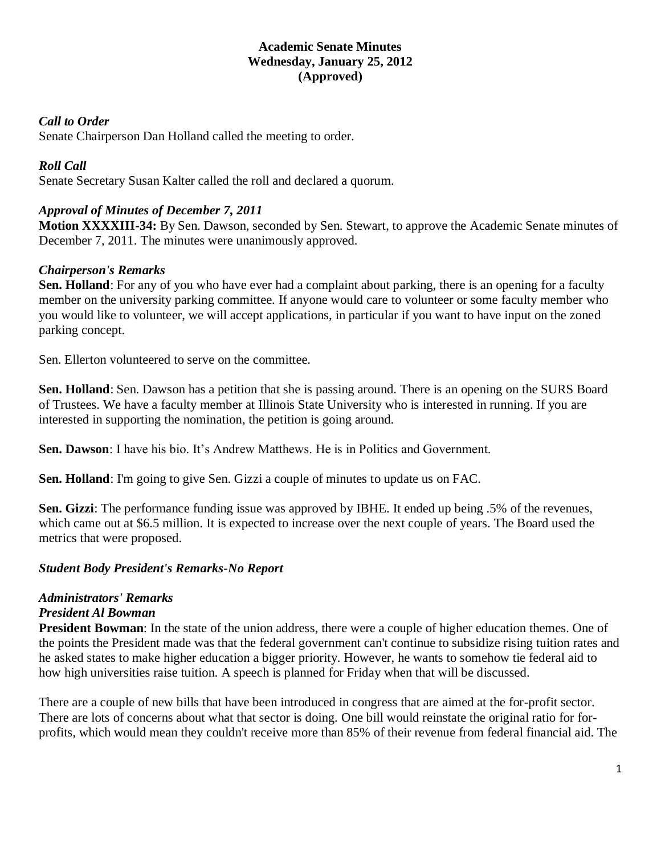## **Academic Senate Minutes Wednesday, January 25, 2012 (Approved)**

## *Call to Order*

Senate Chairperson Dan Holland called the meeting to order.

## *Roll Call*

Senate Secretary Susan Kalter called the roll and declared a quorum.

## *Approval of Minutes of December 7, 2011*

**Motion XXXXIII-34:** By Sen. Dawson, seconded by Sen. Stewart, to approve the Academic Senate minutes of December 7, 2011. The minutes were unanimously approved.

## *Chairperson's Remarks*

**Sen. Holland**: For any of you who have ever had a complaint about parking, there is an opening for a faculty member on the university parking committee. If anyone would care to volunteer or some faculty member who you would like to volunteer, we will accept applications, in particular if you want to have input on the zoned parking concept.

Sen. Ellerton volunteered to serve on the committee.

**Sen. Holland**: Sen. Dawson has a petition that she is passing around. There is an opening on the SURS Board of Trustees. We have a faculty member at Illinois State University who is interested in running. If you are interested in supporting the nomination, the petition is going around.

**Sen. Dawson**: I have his bio. It's Andrew Matthews. He is in Politics and Government.

**Sen. Holland**: I'm going to give Sen. Gizzi a couple of minutes to update us on FAC.

**Sen. Gizzi**: The performance funding issue was approved by IBHE. It ended up being .5% of the revenues, which came out at \$6.5 million. It is expected to increase over the next couple of years. The Board used the metrics that were proposed.

### *Student Body President's Remarks-No Report*

## *Administrators' Remarks*

### *President Al Bowman*

**President Bowman**: In the state of the union address, there were a couple of higher education themes. One of the points the President made was that the federal government can't continue to subsidize rising tuition rates and he asked states to make higher education a bigger priority. However, he wants to somehow tie federal aid to how high universities raise tuition. A speech is planned for Friday when that will be discussed.

There are a couple of new bills that have been introduced in congress that are aimed at the for-profit sector. There are lots of concerns about what that sector is doing. One bill would reinstate the original ratio for forprofits, which would mean they couldn't receive more than 85% of their revenue from federal financial aid. The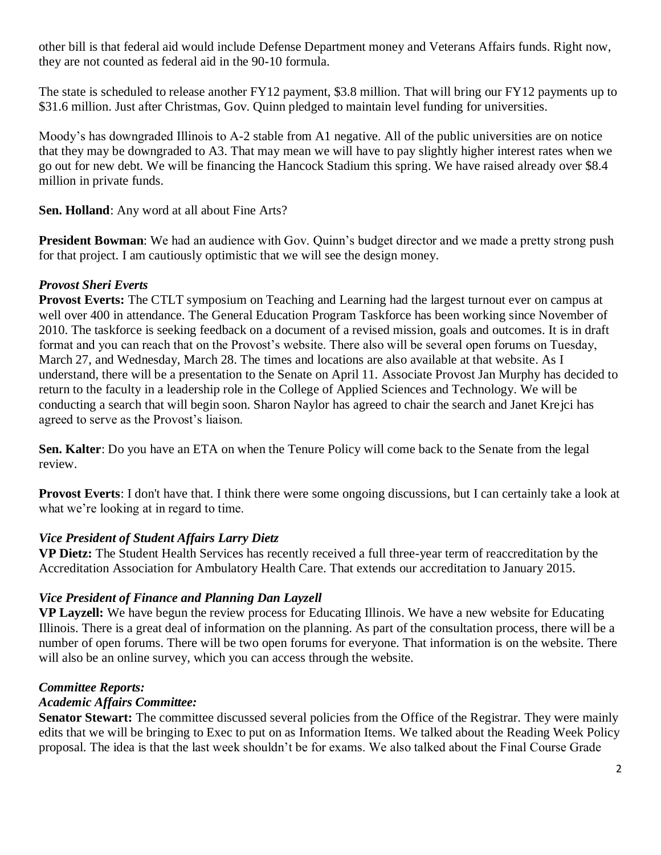other bill is that federal aid would include Defense Department money and Veterans Affairs funds. Right now, they are not counted as federal aid in the 90-10 formula.

The state is scheduled to release another FY12 payment, \$3.8 million. That will bring our FY12 payments up to \$31.6 million. Just after Christmas, Gov. Quinn pledged to maintain level funding for universities.

Moody's has downgraded Illinois to A-2 stable from A1 negative. All of the public universities are on notice that they may be downgraded to A3. That may mean we will have to pay slightly higher interest rates when we go out for new debt. We will be financing the Hancock Stadium this spring. We have raised already over \$8.4 million in private funds.

**Sen. Holland**: Any word at all about Fine Arts?

**President Bowman**: We had an audience with Gov. Quinn's budget director and we made a pretty strong push for that project. I am cautiously optimistic that we will see the design money.

## *Provost Sheri Everts*

**Provost Everts:** The CTLT symposium on Teaching and Learning had the largest turnout ever on campus at well over 400 in attendance. The General Education Program Taskforce has been working since November of 2010. The taskforce is seeking feedback on a document of a revised mission, goals and outcomes. It is in draft format and you can reach that on the Provost's website. There also will be several open forums on Tuesday, March 27, and Wednesday, March 28. The times and locations are also available at that website. As I understand, there will be a presentation to the Senate on April 11. Associate Provost Jan Murphy has decided to return to the faculty in a leadership role in the College of Applied Sciences and Technology. We will be conducting a search that will begin soon. Sharon Naylor has agreed to chair the search and Janet Krejci has agreed to serve as the Provost's liaison.

**Sen. Kalter**: Do you have an ETA on when the Tenure Policy will come back to the Senate from the legal review.

**Provost Everts**: I don't have that. I think there were some ongoing discussions, but I can certainly take a look at what we're looking at in regard to time.

## *Vice President of Student Affairs Larry Dietz*

**VP Dietz:** The Student Health Services has recently received a full three-year term of reaccreditation by the Accreditation Association for Ambulatory Health Care. That extends our accreditation to January 2015.

## *Vice President of Finance and Planning Dan Layzell*

**VP Layzell:** We have begun the review process for Educating Illinois. We have a new website for Educating Illinois. There is a great deal of information on the planning. As part of the consultation process, there will be a number of open forums. There will be two open forums for everyone. That information is on the website. There will also be an online survey, which you can access through the website.

## *Committee Reports:*

## *Academic Affairs Committee:*

**Senator Stewart:** The committee discussed several policies from the Office of the Registrar. They were mainly edits that we will be bringing to Exec to put on as Information Items. We talked about the Reading Week Policy proposal. The idea is that the last week shouldn't be for exams. We also talked about the Final Course Grade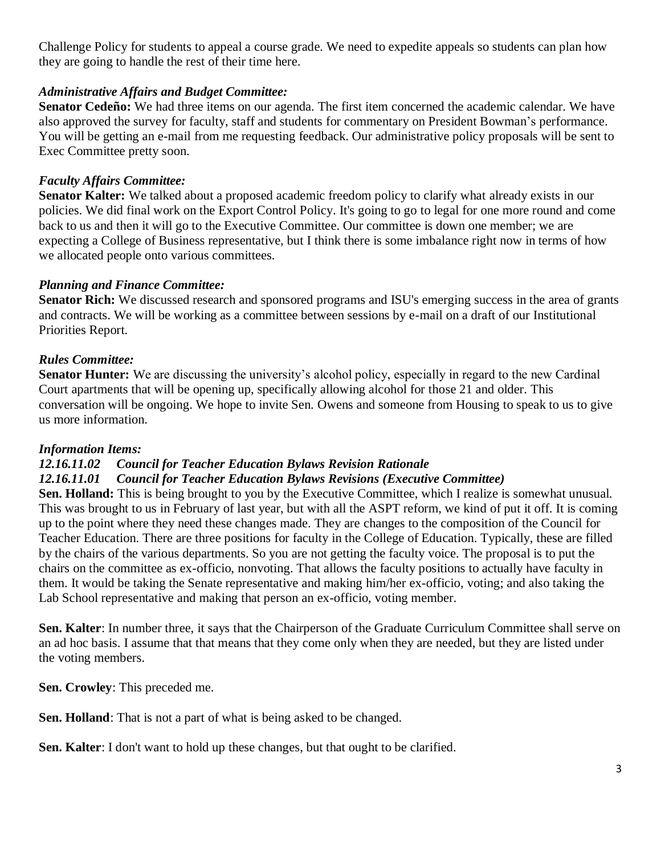Challenge Policy for students to appeal a course grade. We need to expedite appeals so students can plan how they are going to handle the rest of their time here.

## *Administrative Affairs and Budget Committee:*

**Senator Cedeño:** We had three items on our agenda. The first item concerned the academic calendar. We have also approved the survey for faculty, staff and students for commentary on President Bowman's performance. You will be getting an e-mail from me requesting feedback. Our administrative policy proposals will be sent to Exec Committee pretty soon.

## *Faculty Affairs Committee:*

**Senator Kalter:** We talked about a proposed academic freedom policy to clarify what already exists in our policies. We did final work on the Export Control Policy. It's going to go to legal for one more round and come back to us and then it will go to the Executive Committee. Our committee is down one member; we are expecting a College of Business representative, but I think there is some imbalance right now in terms of how we allocated people onto various committees.

### *Planning and Finance Committee:*

**Senator Rich:** We discussed research and sponsored programs and ISU's emerging success in the area of grants and contracts. We will be working as a committee between sessions by e-mail on a draft of our Institutional Priorities Report.

### *Rules Committee:*

**Senator Hunter:** We are discussing the university's alcohol policy, especially in regard to the new Cardinal Court apartments that will be opening up, specifically allowing alcohol for those 21 and older. This conversation will be ongoing. We hope to invite Sen. Owens and someone from Housing to speak to us to give us more information.

### *Information Items:*

### *12.16.11.02 Council for Teacher Education Bylaws Revision Rationale*

### *12.16.11.01 Council for Teacher Education Bylaws Revisions (Executive Committee)*

**Sen. Holland:** This is being brought to you by the Executive Committee, which I realize is somewhat unusual. This was brought to us in February of last year, but with all the ASPT reform, we kind of put it off. It is coming up to the point where they need these changes made. They are changes to the composition of the Council for Teacher Education. There are three positions for faculty in the College of Education. Typically, these are filled by the chairs of the various departments. So you are not getting the faculty voice. The proposal is to put the chairs on the committee as ex-officio, nonvoting. That allows the faculty positions to actually have faculty in them. It would be taking the Senate representative and making him/her ex-officio, voting; and also taking the Lab School representative and making that person an ex-officio, voting member.

**Sen. Kalter**: In number three, it says that the Chairperson of the Graduate Curriculum Committee shall serve on an ad hoc basis. I assume that that means that they come only when they are needed, but they are listed under the voting members.

**Sen. Crowley**: This preceded me.

**Sen. Holland**: That is not a part of what is being asked to be changed.

**Sen. Kalter**: I don't want to hold up these changes, but that ought to be clarified.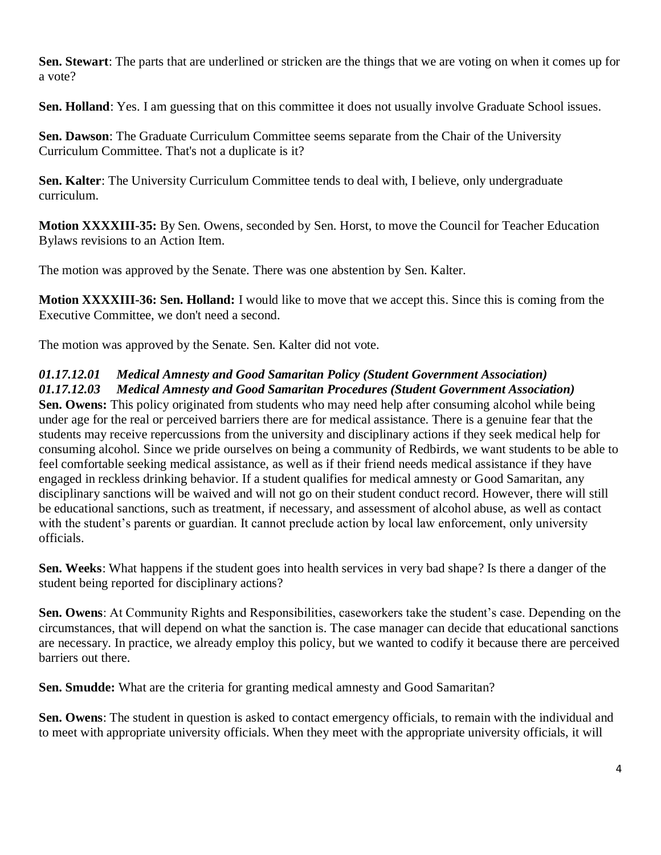**Sen. Stewart**: The parts that are underlined or stricken are the things that we are voting on when it comes up for a vote?

Sen. Holland: Yes. I am guessing that on this committee it does not usually involve Graduate School issues.

**Sen. Dawson**: The Graduate Curriculum Committee seems separate from the Chair of the University Curriculum Committee. That's not a duplicate is it?

**Sen. Kalter**: The University Curriculum Committee tends to deal with, I believe, only undergraduate curriculum.

**Motion XXXXIII-35:** By Sen. Owens, seconded by Sen. Horst, to move the Council for Teacher Education Bylaws revisions to an Action Item.

The motion was approved by the Senate. There was one abstention by Sen. Kalter.

**Motion XXXXIII-36: Sen. Holland:** I would like to move that we accept this. Since this is coming from the Executive Committee, we don't need a second.

The motion was approved by the Senate. Sen. Kalter did not vote.

## *01.17.12.01 Medical Amnesty and Good Samaritan Policy (Student Government Association)*

*01.17.12.03 Medical Amnesty and Good Samaritan Procedures (Student Government Association)* **Sen. Owens:** This policy originated from students who may need help after consuming alcohol while being under age for the real or perceived barriers there are for medical assistance. There is a genuine fear that the students may receive repercussions from the university and disciplinary actions if they seek medical help for consuming alcohol. Since we pride ourselves on being a community of Redbirds, we want students to be able to feel comfortable seeking medical assistance, as well as if their friend needs medical assistance if they have engaged in reckless drinking behavior. If a student qualifies for medical amnesty or Good Samaritan, any disciplinary sanctions will be waived and will not go on their student conduct record. However, there will still be educational sanctions, such as treatment, if necessary, and assessment of alcohol abuse, as well as contact with the student's parents or guardian. It cannot preclude action by local law enforcement, only university officials.

**Sen. Weeks**: What happens if the student goes into health services in very bad shape? Is there a danger of the student being reported for disciplinary actions?

**Sen. Owens**: At Community Rights and Responsibilities, caseworkers take the student's case. Depending on the circumstances, that will depend on what the sanction is. The case manager can decide that educational sanctions are necessary. In practice, we already employ this policy, but we wanted to codify it because there are perceived barriers out there.

**Sen. Smudde:** What are the criteria for granting medical amnesty and Good Samaritan?

**Sen. Owens**: The student in question is asked to contact emergency officials, to remain with the individual and to meet with appropriate university officials. When they meet with the appropriate university officials, it will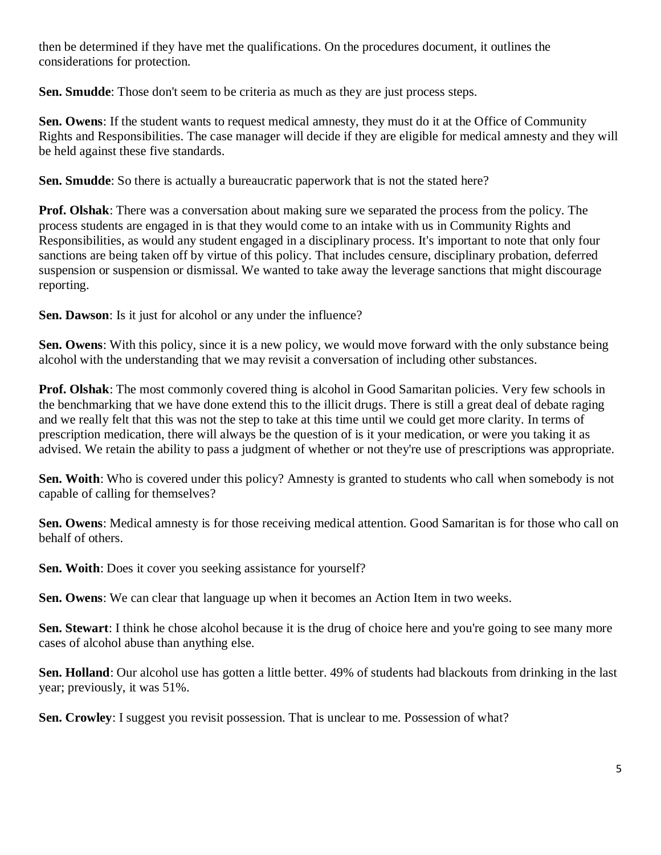then be determined if they have met the qualifications. On the procedures document, it outlines the considerations for protection.

**Sen. Smudde**: Those don't seem to be criteria as much as they are just process steps.

**Sen. Owens**: If the student wants to request medical amnesty, they must do it at the Office of Community Rights and Responsibilities. The case manager will decide if they are eligible for medical amnesty and they will be held against these five standards.

**Sen. Smudde**: So there is actually a bureaucratic paperwork that is not the stated here?

**Prof. Olshak**: There was a conversation about making sure we separated the process from the policy. The process students are engaged in is that they would come to an intake with us in Community Rights and Responsibilities, as would any student engaged in a disciplinary process. It's important to note that only four sanctions are being taken off by virtue of this policy. That includes censure, disciplinary probation, deferred suspension or suspension or dismissal. We wanted to take away the leverage sanctions that might discourage reporting.

**Sen. Dawson**: Is it just for alcohol or any under the influence?

**Sen. Owens**: With this policy, since it is a new policy, we would move forward with the only substance being alcohol with the understanding that we may revisit a conversation of including other substances.

**Prof. Olshak**: The most commonly covered thing is alcohol in Good Samaritan policies. Very few schools in the benchmarking that we have done extend this to the illicit drugs. There is still a great deal of debate raging and we really felt that this was not the step to take at this time until we could get more clarity. In terms of prescription medication, there will always be the question of is it your medication, or were you taking it as advised. We retain the ability to pass a judgment of whether or not they're use of prescriptions was appropriate.

**Sen. Woith**: Who is covered under this policy? Amnesty is granted to students who call when somebody is not capable of calling for themselves?

**Sen. Owens**: Medical amnesty is for those receiving medical attention. Good Samaritan is for those who call on behalf of others.

**Sen. Woith**: Does it cover you seeking assistance for yourself?

**Sen. Owens**: We can clear that language up when it becomes an Action Item in two weeks.

**Sen. Stewart**: I think he chose alcohol because it is the drug of choice here and you're going to see many more cases of alcohol abuse than anything else.

**Sen. Holland**: Our alcohol use has gotten a little better. 49% of students had blackouts from drinking in the last year; previously, it was 51%.

**Sen. Crowley**: I suggest you revisit possession. That is unclear to me. Possession of what?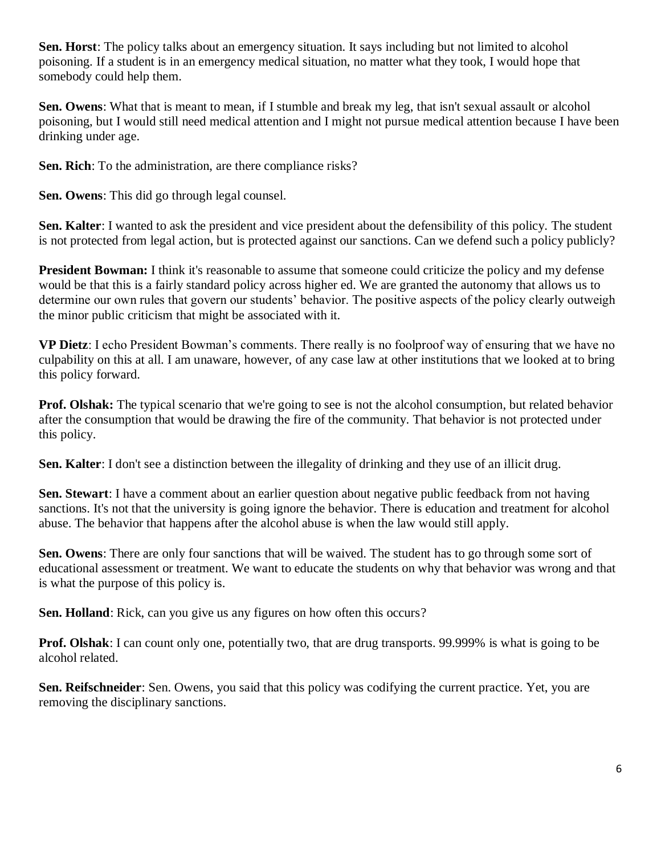**Sen. Horst**: The policy talks about an emergency situation. It says including but not limited to alcohol poisoning. If a student is in an emergency medical situation, no matter what they took, I would hope that somebody could help them.

**Sen. Owens**: What that is meant to mean, if I stumble and break my leg, that isn't sexual assault or alcohol poisoning, but I would still need medical attention and I might not pursue medical attention because I have been drinking under age.

**Sen. Rich**: To the administration, are there compliance risks?

**Sen. Owens**: This did go through legal counsel.

**Sen. Kalter**: I wanted to ask the president and vice president about the defensibility of this policy. The student is not protected from legal action, but is protected against our sanctions. Can we defend such a policy publicly?

**President Bowman:** I think it's reasonable to assume that someone could criticize the policy and my defense would be that this is a fairly standard policy across higher ed. We are granted the autonomy that allows us to determine our own rules that govern our students' behavior. The positive aspects of the policy clearly outweigh the minor public criticism that might be associated with it.

**VP Dietz**: I echo President Bowman's comments. There really is no foolproof way of ensuring that we have no culpability on this at all. I am unaware, however, of any case law at other institutions that we looked at to bring this policy forward.

**Prof. Olshak:** The typical scenario that we're going to see is not the alcohol consumption, but related behavior after the consumption that would be drawing the fire of the community. That behavior is not protected under this policy.

**Sen. Kalter**: I don't see a distinction between the illegality of drinking and they use of an illicit drug.

**Sen. Stewart**: I have a comment about an earlier question about negative public feedback from not having sanctions. It's not that the university is going ignore the behavior. There is education and treatment for alcohol abuse. The behavior that happens after the alcohol abuse is when the law would still apply.

**Sen. Owens**: There are only four sanctions that will be waived. The student has to go through some sort of educational assessment or treatment. We want to educate the students on why that behavior was wrong and that is what the purpose of this policy is.

**Sen. Holland**: Rick, can you give us any figures on how often this occurs?

**Prof. Olshak**: I can count only one, potentially two, that are drug transports. 99.999% is what is going to be alcohol related.

**Sen. Reifschneider**: Sen. Owens, you said that this policy was codifying the current practice. Yet, you are removing the disciplinary sanctions.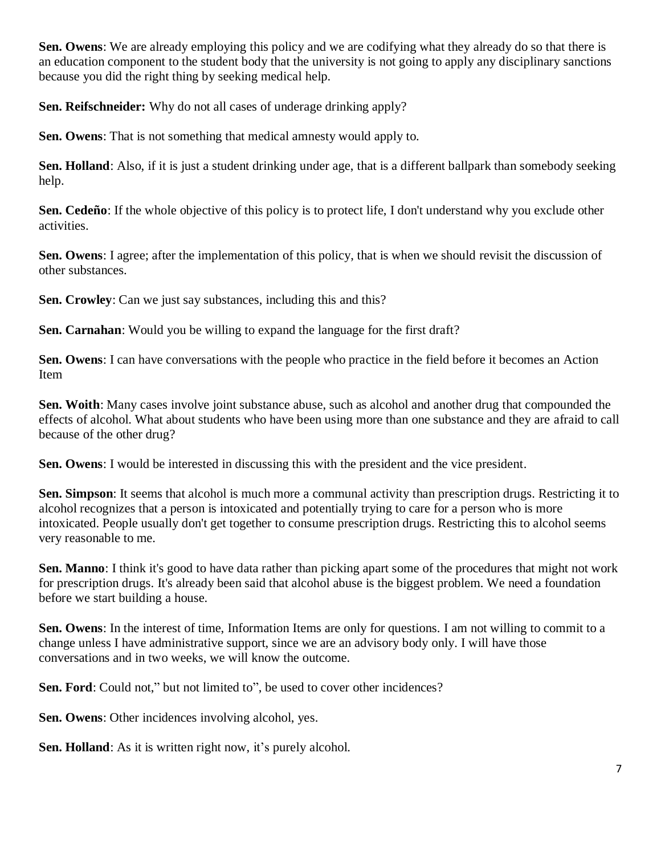**Sen. Owens**: We are already employing this policy and we are codifying what they already do so that there is an education component to the student body that the university is not going to apply any disciplinary sanctions because you did the right thing by seeking medical help.

**Sen. Reifschneider:** Why do not all cases of underage drinking apply?

**Sen. Owens**: That is not something that medical amnesty would apply to.

**Sen. Holland**: Also, if it is just a student drinking under age, that is a different ballpark than somebody seeking help.

**Sen. Cedeño**: If the whole objective of this policy is to protect life, I don't understand why you exclude other activities.

**Sen. Owens**: I agree; after the implementation of this policy, that is when we should revisit the discussion of other substances.

**Sen. Crowley**: Can we just say substances, including this and this?

**Sen. Carnahan**: Would you be willing to expand the language for the first draft?

**Sen. Owens**: I can have conversations with the people who practice in the field before it becomes an Action Item

**Sen. Woith**: Many cases involve joint substance abuse, such as alcohol and another drug that compounded the effects of alcohol. What about students who have been using more than one substance and they are afraid to call because of the other drug?

**Sen. Owens**: I would be interested in discussing this with the president and the vice president.

**Sen. Simpson**: It seems that alcohol is much more a communal activity than prescription drugs. Restricting it to alcohol recognizes that a person is intoxicated and potentially trying to care for a person who is more intoxicated. People usually don't get together to consume prescription drugs. Restricting this to alcohol seems very reasonable to me.

**Sen. Manno**: I think it's good to have data rather than picking apart some of the procedures that might not work for prescription drugs. It's already been said that alcohol abuse is the biggest problem. We need a foundation before we start building a house.

**Sen. Owens**: In the interest of time, Information Items are only for questions. I am not willing to commit to a change unless I have administrative support, since we are an advisory body only. I will have those conversations and in two weeks, we will know the outcome.

**Sen. Ford**: Could not," but not limited to", be used to cover other incidences?

**Sen. Owens**: Other incidences involving alcohol, yes.

**Sen. Holland**: As it is written right now, it's purely alcohol.